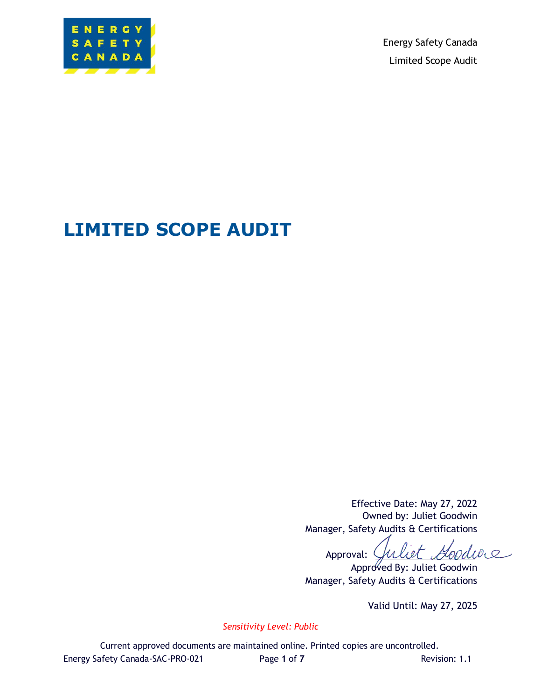

Energy Safety Canada Limited Scope Audit

# **LIMITED SCOPE AUDIT**

Effective Date: May 27, 2022 Owned by: Juliet Goodwin Manager, Safety Audits & Certifications

Juliet Goodwe Approval:

Approved By: Juliet Goodwin Manager, Safety Audits & Certifications

Valid Until: May 27, 2025

*Sensitivity Level: Public*

Current approved documents are maintained online. Printed copies are uncontrolled. Energy Safety Canada-SAC-PRO-021 Page **1** of **7** Revision: 1.1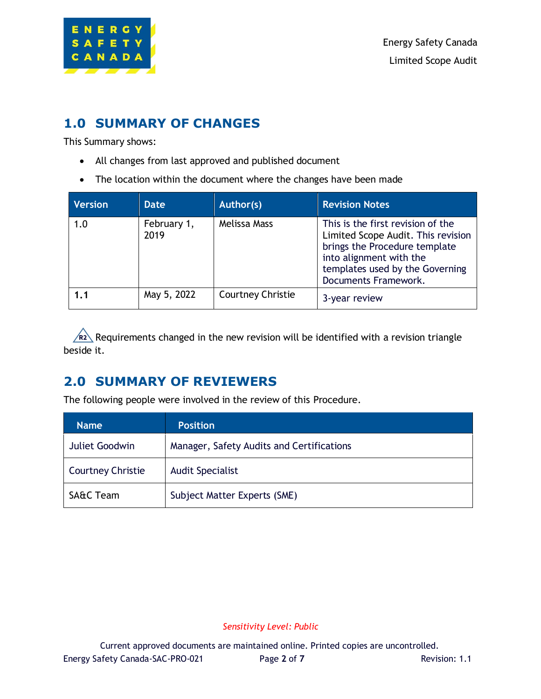

### **1.0 SUMMARY OF CHANGES**

This Summary shows:

- All changes from last approved and published document
- The location within the document where the changes have been made

| <b>Version</b> | <b>Date</b>         | Author(s)                | <b>Revision Notes</b>                                                                                                                                                                          |
|----------------|---------------------|--------------------------|------------------------------------------------------------------------------------------------------------------------------------------------------------------------------------------------|
| 1.0            | February 1,<br>2019 | Melissa Mass             | This is the first revision of the<br>Limited Scope Audit. This revision<br>brings the Procedure template<br>into alignment with the<br>templates used by the Governing<br>Documents Framework. |
| 1.1            | May 5, 2022         | <b>Courtney Christie</b> | 3-year review                                                                                                                                                                                  |

 $R2\backslash$  Requirements changed in the new revision will be identified with a revision triangle beside it.

## **2.0 SUMMARY OF REVIEWERS**

The following people were involved in the review of this Procedure.

| <b>Name</b>              | <b>Position</b>                           |
|--------------------------|-------------------------------------------|
| Juliet Goodwin           | Manager, Safety Audits and Certifications |
| <b>Courtney Christie</b> | <b>Audit Specialist</b>                   |
| <b>SA&amp;C Team</b>     | Subject Matter Experts (SME)              |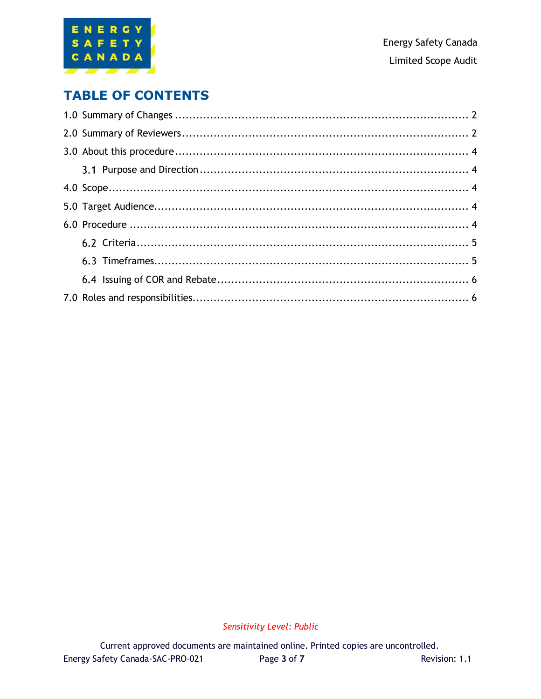

### **TABLE OF CONTENTS**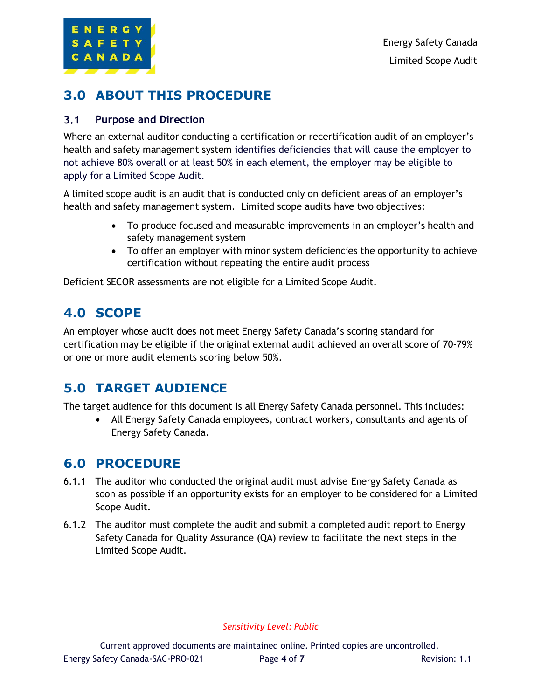

## **3.0 ABOUT THIS PROCEDURE**

#### $3.1$ **Purpose and Direction**

Where an external auditor conducting a certification or recertification audit of an employer's health and safety management system identifies deficiencies that will cause the employer to not achieve 80% overall or at least 50% in each element, the employer may be eligible to apply for a Limited Scope Audit.

A limited scope audit is an audit that is conducted only on deficient areas of an employer's health and safety management system. Limited scope audits have two objectives:

- To produce focused and measurable improvements in an employer's health and safety management system
- To offer an employer with minor system deficiencies the opportunity to achieve certification without repeating the entire audit process

Deficient SECOR assessments are not eligible for a Limited Scope Audit.

### **4.0 SCOPE**

An employer whose audit does not meet Energy Safety Canada's scoring standard for certification may be eligible if the original external audit achieved an overall score of 70-79% or one or more audit elements scoring below 50%.

### **5.0 TARGET AUDIENCE**

The target audience for this document is all Energy Safety Canada personnel. This includes:

• All Energy Safety Canada employees, contract workers, consultants and agents of Energy Safety Canada.

#### **6.0 PROCEDURE**

- 6.1.1 The auditor who conducted the original audit must advise Energy Safety Canada as soon as possible if an opportunity exists for an employer to be considered for a Limited Scope Audit.
- 6.1.2 The auditor must complete the audit and submit a completed audit report to Energy Safety Canada for Quality Assurance (QA) review to facilitate the next steps in the Limited Scope Audit.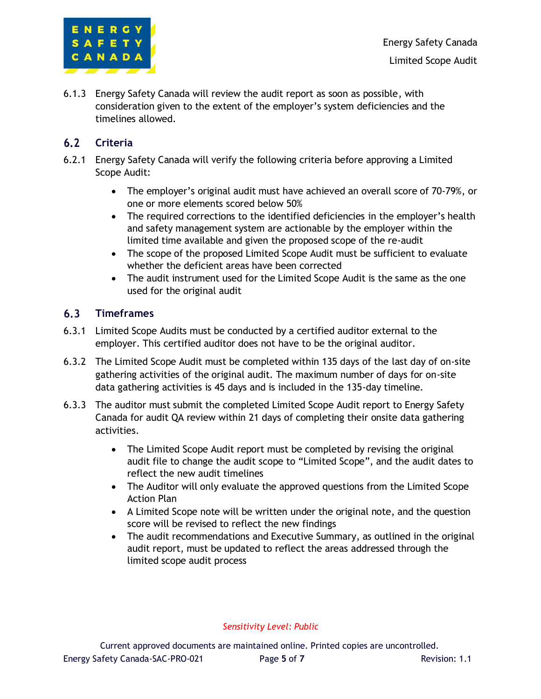

Energy Safety Canada Limited Scope Audit

6.1.3 Energy Safety Canada will review the audit report as soon as possible, with consideration given to the extent of the employer's system deficiencies and the timelines allowed.

#### $6.2$ **Criteria**

- 6.2.1 Energy Safety Canada will verify the following criteria before approving a Limited Scope Audit:
	- The employer's original audit must have achieved an overall score of 70-79%, or one or more elements scored below 50%
	- The required corrections to the identified deficiencies in the employer's health and safety management system are actionable by the employer within the limited time available and given the proposed scope of the re-audit
	- The scope of the proposed Limited Scope Audit must be sufficient to evaluate whether the deficient areas have been corrected
	- The audit instrument used for the Limited Scope Audit is the same as the one used for the original audit

#### $6.3$ **Timeframes**

- 6.3.1 Limited Scope Audits must be conducted by a certified auditor external to the employer. This certified auditor does not have to be the original auditor.
- 6.3.2 The Limited Scope Audit must be completed within 135 days of the last day of on-site gathering activities of the original audit. The maximum number of days for on-site data gathering activities is 45 days and is included in the 135-day timeline.
- 6.3.3 The auditor must submit the completed Limited Scope Audit report to Energy Safety Canada for audit QA review within 21 days of completing their onsite data gathering activities.
	- The Limited Scope Audit report must be completed by revising the original audit file to change the audit scope to "Limited Scope", and the audit dates to reflect the new audit timelines
	- The Auditor will only evaluate the approved questions from the Limited Scope Action Plan
	- A Limited Scope note will be written under the original note, and the question score will be revised to reflect the new findings
	- The audit recommendations and Executive Summary, as outlined in the original audit report, must be updated to reflect the areas addressed through the limited scope audit process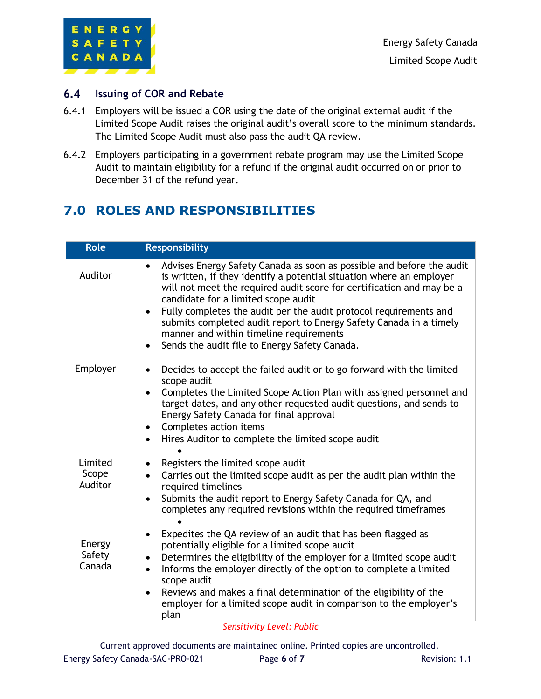

#### $6.4$ **Issuing of COR and Rebate**

- 6.4.1 Employers will be issued a COR using the date of the original external audit if the Limited Scope Audit raises the original audit's overall score to the minimum standards. The Limited Scope Audit must also pass the audit QA review.
- 6.4.2 Employers participating in a government rebate program may use the Limited Scope Audit to maintain eligibility for a refund if the original audit occurred on or prior to December 31 of the refund year.

# **7.0 ROLES AND RESPONSIBILITIES**

| <b>Role</b>                 | <b>Responsibility</b>                                                                                                                                                                                                                                                                                                                                                                                                                                                                                             |
|-----------------------------|-------------------------------------------------------------------------------------------------------------------------------------------------------------------------------------------------------------------------------------------------------------------------------------------------------------------------------------------------------------------------------------------------------------------------------------------------------------------------------------------------------------------|
| Auditor                     | Advises Energy Safety Canada as soon as possible and before the audit<br>is written, if they identify a potential situation where an employer<br>will not meet the required audit score for certification and may be a<br>candidate for a limited scope audit<br>Fully completes the audit per the audit protocol requirements and<br>submits completed audit report to Energy Safety Canada in a timely<br>manner and within timeline requirements<br>Sends the audit file to Energy Safety Canada.<br>$\bullet$ |
| Employer                    | Decides to accept the failed audit or to go forward with the limited<br>$\bullet$<br>scope audit<br>Completes the Limited Scope Action Plan with assigned personnel and<br>target dates, and any other requested audit questions, and sends to<br>Energy Safety Canada for final approval<br>Completes action items<br>$\bullet$<br>Hires Auditor to complete the limited scope audit                                                                                                                             |
| Limited<br>Scope<br>Auditor | Registers the limited scope audit<br>$\bullet$<br>Carries out the limited scope audit as per the audit plan within the<br>required timelines<br>Submits the audit report to Energy Safety Canada for QA, and<br>$\bullet$<br>completes any required revisions within the required timeframes                                                                                                                                                                                                                      |
| Energy<br>Safety<br>Canada  | Expedites the QA review of an audit that has been flagged as<br>$\bullet$<br>potentially eligible for a limited scope audit<br>Determines the eligibility of the employer for a limited scope audit<br>٠<br>Informs the employer directly of the option to complete a limited<br>$\bullet$<br>scope audit<br>Reviews and makes a final determination of the eligibility of the<br>employer for a limited scope audit in comparison to the employer's<br>plan                                                      |